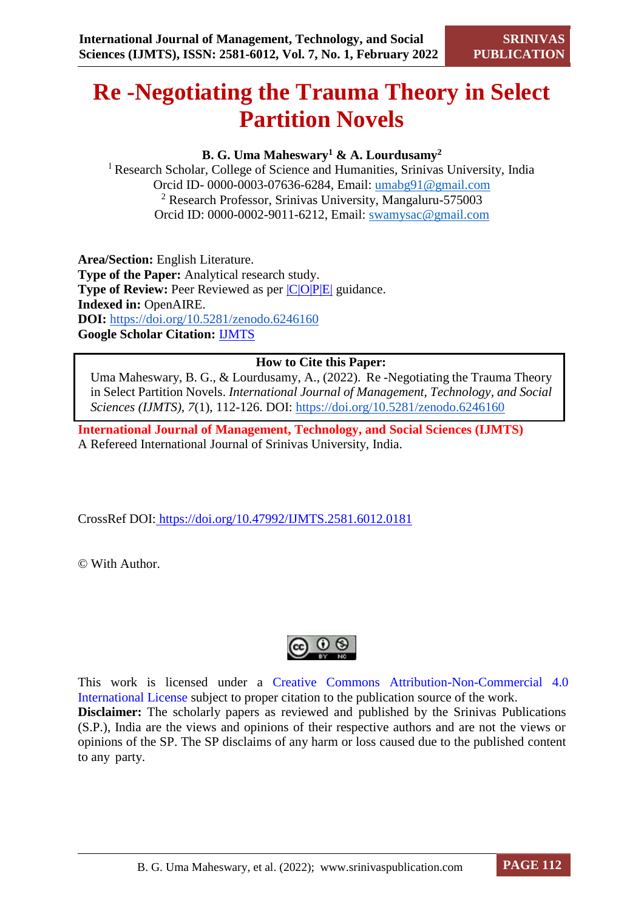# **Re -Negotiating the Trauma Theory in Select Partition Novels**

# **B. G. Uma Maheswary<sup>1</sup> & A. Lourdusamy<sup>2</sup>**

<sup>l</sup> Research Scholar, College of Science and Humanities, Srinivas University, India Orcid ID- 0000-0003-07636-6284, Email: [umabg91@gmail.com](mailto:umabg91@gmail.com) <sup>2</sup> Research Professor, Srinivas University, Mangaluru-575003 Orcid ID: 0000-0002-9011-6212, Email: [swamysac@gmail.com](mailto:swamysac@gmail.com)

**Area/Section:** English Literature. **Type of the Paper:** Analytical research study. **Type of Review:** Peer Reviewed as per  $|C|O||P|E|$  guidance. **Indexed in:** OpenAIRE. **DOI:** <https://doi.org/10.5281/zenodo.6246160> **Google Scholar Citation:** [IJMTS](https://scholar.google.com/citations?user=bphF0BQAAAAJ)

# **How to Cite this Paper:**

Uma Maheswary, B. G., & Lourdusamy, A., (2022). Re -Negotiating the Trauma Theory in Select Partition Novels. *International Journal of Management, Technology, and Social Sciences (IJMTS), 7*(1), 112-126. DOI:<https://doi.org/10.5281/zenodo.6246160>

**International Journal of Management, Technology, and Social Sciences (IJMTS)** A Refereed International Journal of Srinivas University, India.

CrossRef DOI: [https://doi.org/10.47992/IJMTS.2581.6012.0181](https://search.crossref.org/?q=10.47992%2FIJMTS.2581.6012.0181&from_ui=yes)

© With Author.



This work is licensed under a Creative Commons Attribution-Non-Commercial 4.0 International License subject to proper citation to the publication source of the work. **Disclaimer:** The scholarly papers as reviewed and published by the Srinivas Publications (S.P.), India are the views and opinions of their respective authors and are not the views or opinions of the SP. The SP disclaims of any harm or loss caused due to the published content to any party.

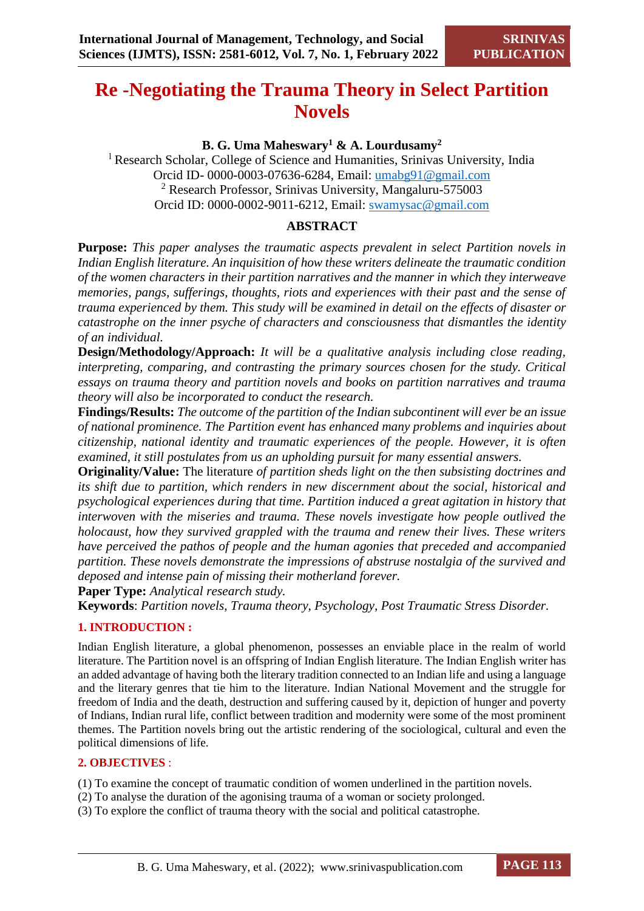# **Re -Negotiating the Trauma Theory in Select Partition Novels**

# **B. G. Uma Maheswary<sup>1</sup> & A. Lourdusamy<sup>2</sup>**

<sup>l</sup> Research Scholar, College of Science and Humanities, Srinivas University, India Orcid ID- 0000-0003-07636-6284, Email: [umabg91@gmail.com](mailto:umabg91@gmail.com) <sup>2</sup> Research Professor, Srinivas University, Mangaluru-575003 Orcid ID: 0000-0002-9011-6212, Email: [swamysac@gmail.com](mailto:swamysac@gmail.com)

# **ABSTRACT**

**Purpose:** *This paper analyses the traumatic aspects prevalent in select Partition novels in Indian English literature. An inquisition of how these writers delineate the traumatic condition of the women characters in their partition narratives and the manner in which they interweave memories, pangs, sufferings, thoughts, riots and experiences with their past and the sense of trauma experienced by them. This study will be examined in detail on the effects of disaster or catastrophe on the inner psyche of characters and consciousness that dismantles the identity of an individual.*

**Design/Methodology/Approach:** *It will be a qualitative analysis including close reading, interpreting, comparing, and contrasting the primary sources chosen for the study. Critical essays on trauma theory and partition novels and books on partition narratives and trauma theory will also be incorporated to conduct the research.*

**Findings/Results:** *The outcome of the partition of the Indian subcontinent will ever be an issue of national prominence. The Partition event has enhanced many problems and inquiries about citizenship, national identity and traumatic experiences of the people. However, it is often examined, it still postulates from us an upholding pursuit for many essential answers.*

**Originality/Value:** The literature *of partition sheds light on the then subsisting doctrines and its shift due to partition, which renders in new discernment about the social, historical and psychological experiences during that time. Partition induced a great agitation in history that interwoven with the miseries and trauma. These novels investigate how people outlived the holocaust, how they survived grappled with the trauma and renew their lives. These writers have perceived the pathos of people and the human agonies that preceded and accompanied partition. These novels demonstrate the impressions of abstruse nostalgia of the survived and deposed and intense pain of missing their motherland forever.*

**Paper Type:** *Analytical research study.*

**Keywords**: *Partition novels, Trauma theory, Psychology, Post Traumatic Stress Disorder.*

# **1. INTRODUCTION :**

Indian English literature, a global phenomenon, possesses an enviable place in the realm of world literature. The Partition novel is an offspring of Indian English literature. The Indian English writer has an added advantage of having both the literary tradition connected to an Indian life and using a language and the literary genres that tie him to the literature. Indian National Movement and the struggle for freedom of India and the death, destruction and suffering caused by it, depiction of hunger and poverty of Indians, Indian rural life, conflict between tradition and modernity were some of the most prominent themes. The Partition novels bring out the artistic rendering of the sociological, cultural and even the political dimensions of life.

#### **2. OBJECTIVES** :

(1) To examine the concept of traumatic condition of women underlined in the partition novels.

- (2) To analyse the duration of the agonising trauma of a woman or society prolonged.
- (3) To explore the conflict of trauma theory with the social and political catastrophe.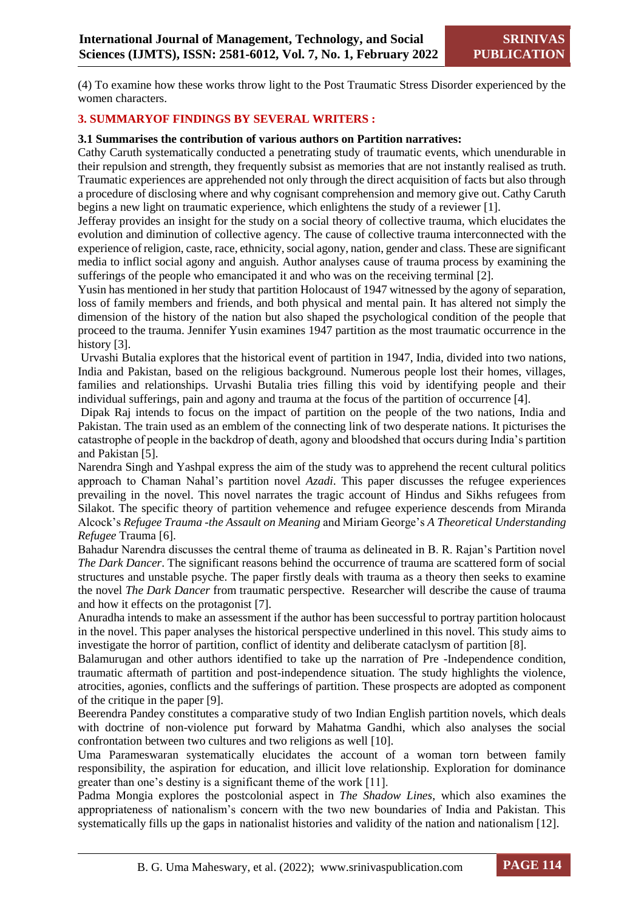(4) To examine how these works throw light to the Post Traumatic Stress Disorder experienced by the women characters.

#### **3. SUMMARYOF FINDINGS BY SEVERAL WRITERS :**

#### **3.1 Summarises the contribution of various authors on Partition narratives:**

Cathy Caruth systematically conducted a penetrating study of traumatic events, which unendurable in their repulsion and strength, they frequently subsist as memories that are not instantly realised as truth. Traumatic experiences are apprehended not only through the direct acquisition of facts but also through a procedure of disclosing where and why cognisant comprehension and memory give out. Cathy Caruth begins a new light on traumatic experience, which enlightens the study of a reviewer [1].

Jefferay provides an insight for the study on a social theory of collective trauma, which elucidates the evolution and diminution of collective agency. The cause of collective trauma interconnected with the experience of religion, caste, race, ethnicity, social agony, nation, gender and class. These are significant media to inflict social agony and anguish. Author analyses cause of trauma process by examining the sufferings of the people who emancipated it and who was on the receiving terminal [2].

Yusin has mentioned in her study that partition Holocaust of 1947 witnessed by the agony of separation, loss of family members and friends, and both physical and mental pain. It has altered not simply the dimension of the history of the nation but also shaped the psychological condition of the people that proceed to the trauma. Jennifer Yusin examines 1947 partition as the most traumatic occurrence in the history [3].

Urvashi Butalia explores that the historical event of partition in 1947, India, divided into two nations, India and Pakistan, based on the religious background. Numerous people lost their homes, villages, families and relationships. Urvashi Butalia tries filling this void by identifying people and their individual sufferings, pain and agony and trauma at the focus of the partition of occurrence [4].

Dipak Raj intends to focus on the impact of partition on the people of the two nations, India and Pakistan. The train used as an emblem of the connecting link of two desperate nations. It picturises the catastrophe of people in the backdrop of death, agony and bloodshed that occurs during India's partition and Pakistan [5].

Narendra Singh and Yashpal express the aim of the study was to apprehend the recent cultural politics approach to Chaman Nahal's partition novel *Azadi*. This paper discusses the refugee experiences prevailing in the novel. This novel narrates the tragic account of Hindus and Sikhs refugees from Silakot. The specific theory of partition vehemence and refugee experience descends from Miranda Alcock's *Refugee Trauma -the Assault on Meaning* and Miriam George's *A Theoretical Understanding Refugee* Trauma [6].

Bahadur Narendra discusses the central theme of trauma as delineated in B. R. Rajan's Partition novel *The Dark Dancer*. The significant reasons behind the occurrence of trauma are scattered form of social structures and unstable psyche. The paper firstly deals with trauma as a theory then seeks to examine the novel *The Dark Dancer* from traumatic perspective. Researcher will describe the cause of trauma and how it effects on the protagonist [7].

Anuradha intends to make an assessment if the author has been successful to portray partition holocaust in the novel. This paper analyses the historical perspective underlined in this novel. This study aims to investigate the horror of partition, conflict of identity and deliberate cataclysm of partition [8].

Balamurugan and other authors identified to take up the narration of Pre -Independence condition, traumatic aftermath of partition and post-independence situation. The study highlights the violence, atrocities, agonies, conflicts and the sufferings of partition. These prospects are adopted as component of the critique in the paper [9].

Beerendra Pandey constitutes a comparative study of two Indian English partition novels, which deals with doctrine of non-violence put forward by Mahatma Gandhi, which also analyses the social confrontation between two cultures and two religions as well [10].

Uma Parameswaran systematically elucidates the account of a woman torn between family responsibility, the aspiration for education, and illicit love relationship. Exploration for dominance greater than one's destiny is a significant theme of the work [11].

Padma Mongia explores the postcolonial aspect in *The Shadow Lines*, which also examines the appropriateness of nationalism's concern with the two new boundaries of India and Pakistan. This systematically fills up the gaps in nationalist histories and validity of the nation and nationalism [12].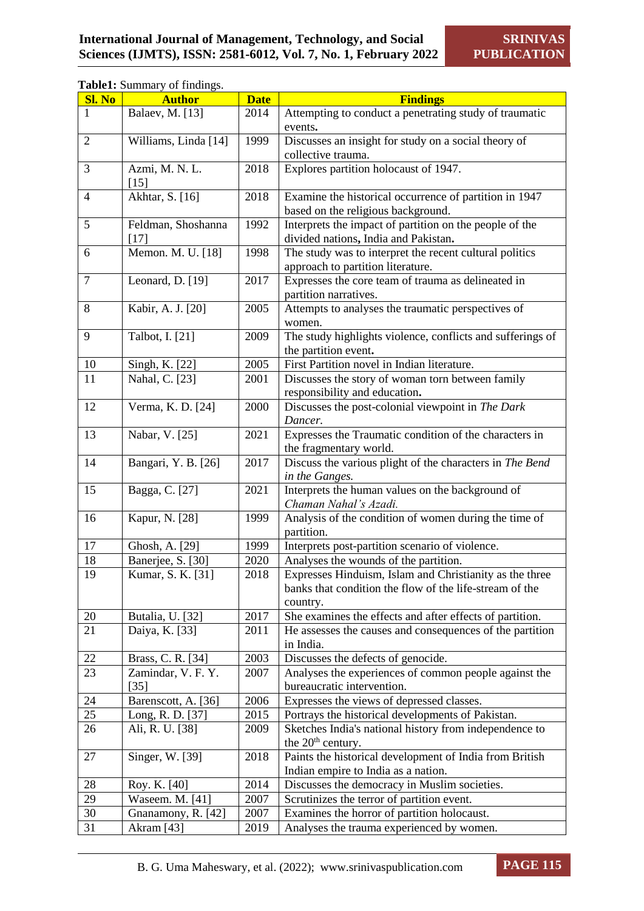# **Table1:** Summary of findings.

| <b>Sl. No</b>   | <b>Author</b>                | <b>Date</b> | <b>Findings</b>                                                                                                                |
|-----------------|------------------------------|-------------|--------------------------------------------------------------------------------------------------------------------------------|
|                 | Balaev, M. [13]              | 2014        | Attempting to conduct a penetrating study of traumatic<br>events.                                                              |
| $\overline{2}$  | Williams, Linda [14]         | 1999        | Discusses an insight for study on a social theory of<br>collective trauma.                                                     |
| 3               | Azmi, M. N. L.<br>[15]       | 2018        | Explores partition holocaust of 1947.                                                                                          |
| $\overline{4}$  | Akhtar, S. [16]              | 2018        | Examine the historical occurrence of partition in 1947<br>based on the religious background.                                   |
| 5               | Feldman, Shoshanna<br>$[17]$ | 1992        | Interprets the impact of partition on the people of the<br>divided nations, India and Pakistan.                                |
| 6               | Memon. M. U. [18]            | 1998        | The study was to interpret the recent cultural politics<br>approach to partition literature.                                   |
| $\tau$          | Leonard, D. [19]             | 2017        | Expresses the core team of trauma as delineated in<br>partition narratives.                                                    |
| 8               | Kabir, A. J. [20]            | 2005        | Attempts to analyses the traumatic perspectives of<br>women.                                                                   |
| 9               | Talbot, I. [21]              | 2009        | The study highlights violence, conflicts and sufferings of<br>the partition event.                                             |
| $10\,$          | Singh, K. [22]               | 2005        | First Partition novel in Indian literature.                                                                                    |
| 11              | Nahal, C. [23]               | 2001        | Discusses the story of woman torn between family<br>responsibility and education.                                              |
| 12              | Verma, K. D. [24]            | 2000        | Discusses the post-colonial viewpoint in The Dark<br>Dancer.                                                                   |
| 13              | Nabar, V. [25]               | 2021        | Expresses the Traumatic condition of the characters in<br>the fragmentary world.                                               |
| 14              | Bangari, Y. B. [26]          | 2017        | Discuss the various plight of the characters in The Bend<br>in the Ganges.                                                     |
| 15              | Bagga, C. [27]               | 2021        | Interprets the human values on the background of<br>Chaman Nahal's Azadi.                                                      |
| 16              | Kapur, N. [28]               | 1999        | Analysis of the condition of women during the time of<br>partition.                                                            |
| 17              | Ghosh, A. [29]               | 1999        | Interprets post-partition scenario of violence.                                                                                |
| 18              | Banerjee, S. [30]            | 2020        | Analyses the wounds of the partition.                                                                                          |
| 19              | Kumar, S. K. [31]            | 2018        | Expresses Hinduism, Islam and Christianity as the three<br>banks that condition the flow of the life-stream of the<br>country. |
| 20              | Butalia, U. [32]             | 2017        | She examines the effects and after effects of partition.                                                                       |
| $\overline{21}$ | Daiya, K. [33]               | 2011        | He assesses the causes and consequences of the partition<br>in India.                                                          |
| 22              | Brass, C. R. [34]            | 2003        | Discusses the defects of genocide.                                                                                             |
| 23              | Zamindar, V. F. Y.<br>$[35]$ | 2007        | Analyses the experiences of common people against the<br>bureaucratic intervention.                                            |
| 24              | Barenscott, A. [36]          | 2006        | Expresses the views of depressed classes.                                                                                      |
| $\overline{25}$ | Long, R. D. [37]             | 2015        | Portrays the historical developments of Pakistan.                                                                              |
| 26              | Ali, R. U. [38]              | 2009        | Sketches India's national history from independence to<br>the $20th$ century.                                                  |
| 27              | Singer, W. [39]              | 2018        | Paints the historical development of India from British<br>Indian empire to India as a nation.                                 |
| $28\,$          | Roy. K. [40]                 | 2014        | Discusses the democracy in Muslim societies.                                                                                   |
| 29              | Waseem. M. [41]              | 2007        | Scrutinizes the terror of partition event.                                                                                     |
| 30              | Gnanamony, R. [42]           | 2007        | Examines the horror of partition holocaust.                                                                                    |
| 31              | Akram <sup>[43]</sup>        | 2019        | Analyses the trauma experienced by women.                                                                                      |

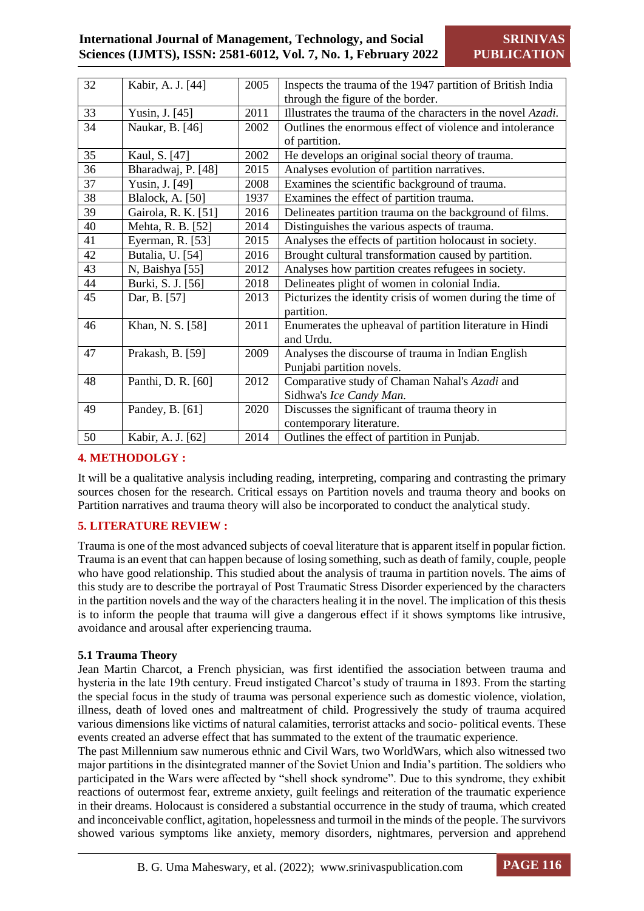# **International Journal of Management, Technology, and Social Sciences (IJMTS), ISSN: 2581-6012, Vol. 7, No. 1, February 2022**

| 32 | Kabir, A. J. [44]        | 2005 | Inspects the trauma of the 1947 partition of British India   |
|----|--------------------------|------|--------------------------------------------------------------|
|    |                          |      | through the figure of the border.                            |
| 33 | Yusin, J. [45]           | 2011 | Illustrates the trauma of the characters in the novel Azadi. |
| 34 | Naukar, B. [46]          | 2002 | Outlines the enormous effect of violence and intolerance     |
|    |                          |      | of partition.                                                |
| 35 | Kaul, S. [47]            | 2002 | He develops an original social theory of trauma.             |
| 36 | Bharadwaj, P. [48]       | 2015 | Analyses evolution of partition narratives.                  |
| 37 | Yusin, J. [49]           | 2008 | Examines the scientific background of trauma.                |
| 38 | <b>Blalock</b> , A. [50] | 1937 | Examines the effect of partition trauma.                     |
| 39 | Gairola, R. K. [51]      | 2016 | Delineates partition trauma on the background of films.      |
| 40 | Mehta, R. B. [52]        | 2014 | Distinguishes the various aspects of trauma.                 |
| 41 | Eyerman, R. [53]         | 2015 | Analyses the effects of partition holocaust in society.      |
| 42 | Butalia, U. [54]         | 2016 | Brought cultural transformation caused by partition.         |
| 43 | N, Baishya [55]          | 2012 | Analyses how partition creates refugees in society.          |
| 44 | Burki, S. J. [56]        | 2018 | Delineates plight of women in colonial India.                |
| 45 | Dar, B. [57]             | 2013 | Picturizes the identity crisis of women during the time of   |
|    |                          |      | partition.                                                   |
| 46 | Khan, N. S. [58]         | 2011 | Enumerates the upheaval of partition literature in Hindi     |
|    |                          |      | and Urdu.                                                    |
| 47 | Prakash, B. [59]         | 2009 | Analyses the discourse of trauma in Indian English           |
|    |                          |      | Punjabi partition novels.                                    |
| 48 | Panthi, D. R. [60]       | 2012 | Comparative study of Chaman Nahal's Azadi and                |
|    |                          |      | Sidhwa's Ice Candy Man.                                      |
| 49 | Pandey, B. [61]          | 2020 | Discusses the significant of trauma theory in                |
|    |                          |      | contemporary literature.                                     |
| 50 | Kabir, A. J. [62]        | 2014 | Outlines the effect of partition in Punjab.                  |
|    |                          |      |                                                              |

# **4. METHODOLGY :**

It will be a qualitative analysis including reading, interpreting, comparing and contrasting the primary sources chosen for the research. Critical essays on Partition novels and trauma theory and books on Partition narratives and trauma theory will also be incorporated to conduct the analytical study.

# **5. LITERATURE REVIEW :**

Trauma is one of the most advanced subjects of coeval literature that is apparent itself in popular fiction. Trauma is an event that can happen because of losing something, such as death of family, couple, people who have good relationship. This studied about the analysis of trauma in partition novels. The aims of this study are to describe the portrayal of Post Traumatic Stress Disorder experienced by the characters in the partition novels and the way of the characters healing it in the novel. The implication of this thesis is to inform the people that trauma will give a dangerous effect if it shows symptoms like intrusive, avoidance and arousal after experiencing trauma.

## **5.1 Trauma Theory**

Jean Martin Charcot, a French physician, was first identified the association between trauma and hysteria in the late 19th century. Freud instigated Charcot's study of trauma in 1893. From the starting the special focus in the study of trauma was personal experience such as domestic violence, violation, illness, death of loved ones and maltreatment of child. Progressively the study of trauma acquired various dimensions like victims of natural calamities, terrorist attacks and socio- political events. These events created an adverse effect that has summated to the extent of the traumatic experience.

The past Millennium saw numerous ethnic and Civil Wars, two WorldWars, which also witnessed two major partitions in the disintegrated manner of the Soviet Union and India's partition. The soldiers who participated in the Wars were affected by "shell shock syndrome". Due to this syndrome, they exhibit reactions of outermost fear, extreme anxiety, guilt feelings and reiteration of the traumatic experience in their dreams. Holocaust is considered a substantial occurrence in the study of trauma, which created and inconceivable conflict, agitation, hopelessness and turmoil in the minds of the people. The survivors showed various symptoms like anxiety, memory disorders, nightmares, perversion and apprehend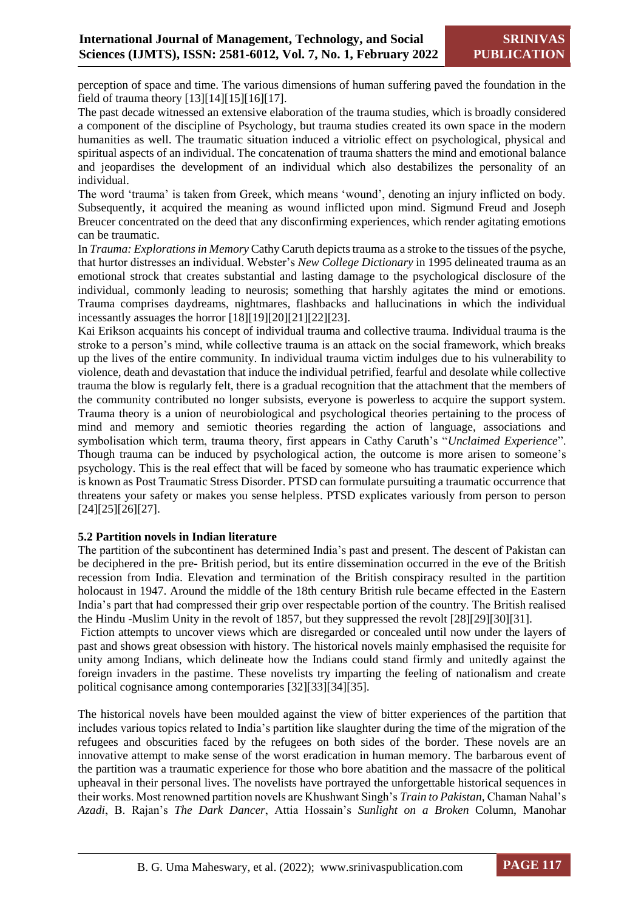perception of space and time. The various dimensions of human suffering paved the foundation in the field of trauma theory [13][14][15][16][17].

The past decade witnessed an extensive elaboration of the trauma studies, which is broadly considered a component of the discipline of Psychology, but trauma studies created its own space in the modern humanities as well. The traumatic situation induced a vitriolic effect on psychological, physical and spiritual aspects of an individual. The concatenation of trauma shatters the mind and emotional balance and jeopardises the development of an individual which also destabilizes the personality of an individual.

The word 'trauma' is taken from Greek, which means 'wound', denoting an injury inflicted on body. Subsequently, it acquired the meaning as wound inflicted upon mind. Sigmund Freud and Joseph Breucer concentrated on the deed that any disconfirming experiences, which render agitating emotions can be traumatic.

In *Trauma: Explorations in Memory* Cathy Caruth depicts trauma as a stroke to the tissues of the psyche, that hurtor distresses an individual. Webster's *New College Dictionary* in 1995 delineated trauma as an emotional strock that creates substantial and lasting damage to the psychological disclosure of the individual, commonly leading to neurosis; something that harshly agitates the mind or emotions. Trauma comprises daydreams, nightmares, flashbacks and hallucinations in which the individual incessantly assuages the horror [18][19][20][21][22][23].

Kai Erikson acquaints his concept of individual trauma and collective trauma. Individual trauma is the stroke to a person's mind, while collective trauma is an attack on the social framework, which breaks up the lives of the entire community. In individual trauma victim indulges due to his vulnerability to violence, death and devastation that induce the individual petrified, fearful and desolate while collective trauma the blow is regularly felt, there is a gradual recognition that the attachment that the members of the community contributed no longer subsists, everyone is powerless to acquire the support system. Trauma theory is a union of neurobiological and psychological theories pertaining to the process of mind and memory and semiotic theories regarding the action of language, associations and symbolisation which term, trauma theory, first appears in Cathy Caruth's "*Unclaimed Experience*". Though trauma can be induced by psychological action, the outcome is more arisen to someone's psychology. This is the real effect that will be faced by someone who has traumatic experience which is known as Post Traumatic Stress Disorder. PTSD can formulate pursuiting a traumatic occurrence that threatens your safety or makes you sense helpless. PTSD explicates variously from person to person [24][25][26][27].

## **5.2 Partition novels in Indian literature**

The partition of the subcontinent has determined India's past and present. The descent of Pakistan can be deciphered in the pre- British period, but its entire dissemination occurred in the eve of the British recession from India. Elevation and termination of the British conspiracy resulted in the partition holocaust in 1947. Around the middle of the 18th century British rule became effected in the Eastern India's part that had compressed their grip over respectable portion of the country. The British realised the Hindu -Muslim Unity in the revolt of 1857, but they suppressed the revolt [28][29][30][31].

Fiction attempts to uncover views which are disregarded or concealed until now under the layers of past and shows great obsession with history. The historical novels mainly emphasised the requisite for unity among Indians, which delineate how the Indians could stand firmly and unitedly against the foreign invaders in the pastime. These novelists try imparting the feeling of nationalism and create political cognisance among contemporaries [32][33][34][35].

The historical novels have been moulded against the view of bitter experiences of the partition that includes various topics related to India's partition like slaughter during the time of the migration of the refugees and obscurities faced by the refugees on both sides of the border. These novels are an innovative attempt to make sense of the worst eradication in human memory. The barbarous event of the partition was a traumatic experience for those who bore abatition and the massacre of the political upheaval in their personal lives. The novelists have portrayed the unforgettable historical sequences in their works. Most renowned partition novels are Khushwant Singh's *Train to Pakistan,* Chaman Nahal's *Azadi*, B. Rajan's *The Dark Dancer*, Attia Hossain's *Sunlight on a Broken* Column, Manohar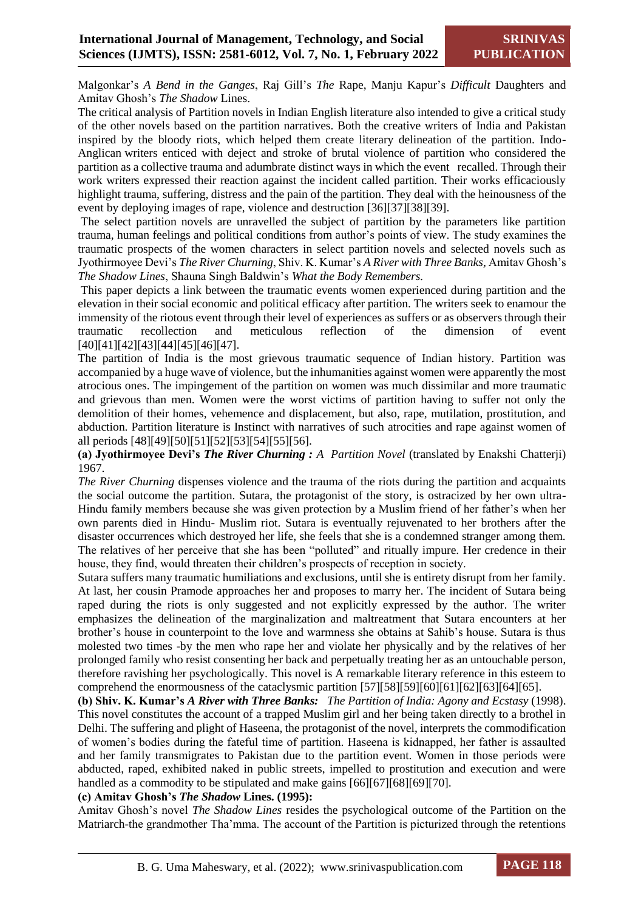Malgonkar's *A Bend in the Ganges*, Raj Gill's *The* Rape, Manju Kapur's *Difficult* Daughters and Amitav Ghosh's *The Shadow* Lines.

The critical analysis of Partition novels in Indian English literature also intended to give a critical study of the other novels based on the partition narratives. Both the creative writers of India and Pakistan inspired by the bloody riots, which helped them create literary delineation of the partition. Indo-Anglican writers enticed with deject and stroke of brutal violence of partition who considered the partition as a collective trauma and adumbrate distinct ways in which the event recalled. Through their work writers expressed their reaction against the incident called partition. Their works efficaciously highlight trauma, suffering, distress and the pain of the partition. They deal with the heinousness of the event by deploying images of rape, violence and destruction [36][37][38][39].

The select partition novels are unravelled the subject of partition by the parameters like partition trauma, human feelings and political conditions from author's points of view. The study examines the traumatic prospects of the women characters in select partition novels and selected novels such as Jyothirmoyee Devi's *The River Churning*, Shiv. K. Kumar's *A River with Three Banks,* Amitav Ghosh's *The Shadow Lines*, Shauna Singh Baldwin's *What the Body Remembers.*

This paper depicts a link between the traumatic events women experienced during partition and the elevation in their social economic and political efficacy after partition. The writers seek to enamour the immensity of the riotous event through their level of experiences as suffers or as observers through their traumatic recollection and meticulous reflection of the dimension of event [40][41][42][43][44][45][46][47].

The partition of India is the most grievous traumatic sequence of Indian history. Partition was accompanied by a huge wave of violence, but the inhumanities against women were apparently the most atrocious ones. The impingement of the partition on women was much dissimilar and more traumatic and grievous than men. Women were the worst victims of partition having to suffer not only the demolition of their homes, vehemence and displacement, but also, rape, mutilation, prostitution, and abduction. Partition literature is Instinct with narratives of such atrocities and rape against women of all periods [48][49][50][51][52][53][54][55][56].

**(a) Jyothirmoyee Devi's** *The River Churning : A Partition Novel* (translated by Enakshi Chatterji) 1967.

*The River Churning* dispenses violence and the trauma of the riots during the partition and acquaints the social outcome the partition. Sutara, the protagonist of the story, is ostracized by her own ultra-Hindu family members because she was given protection by a Muslim friend of her father's when her own parents died in Hindu- Muslim riot. Sutara is eventually rejuvenated to her brothers after the disaster occurrences which destroyed her life, she feels that she is a condemned stranger among them. The relatives of her perceive that she has been "polluted" and ritually impure. Her credence in their house, they find, would threaten their children's prospects of reception in society.

Sutara suffers many traumatic humiliations and exclusions, until she is entirety disrupt from her family. At last, her cousin Pramode approaches her and proposes to marry her. The incident of Sutara being raped during the riots is only suggested and not explicitly expressed by the author. The writer emphasizes the delineation of the marginalization and maltreatment that Sutara encounters at her brother's house in counterpoint to the love and warmness she obtains at Sahib's house. Sutara is thus molested two times -by the men who rape her and violate her physically and by the relatives of her prolonged family who resist consenting her back and perpetually treating her as an untouchable person, therefore ravishing her psychologically. This novel is A remarkable literary reference in this esteem to comprehend the enormousness of the cataclysmic partition [57][58][59][60][61][62][63][64][65].

**(b) Shiv. K. Kumar's** *A River with Three Banks: The Partition of India: Agony and Ecstasy* (1998). This novel constitutes the account of a trapped Muslim girl and her being taken directly to a brothel in Delhi. The suffering and plight of Haseena, the protagonist of the novel, interprets the commodification of women's bodies during the fateful time of partition. Haseena is kidnapped, her father is assaulted and her family transmigrates to Pakistan due to the partition event. Women in those periods were abducted, raped, exhibited naked in public streets, impelled to prostitution and execution and were handled as a commodity to be stipulated and make gains [66][67][68][69][70].

#### **(c) Amitav Ghosh's** *The Shadow* **Lines. (1995):**

Amitav Ghosh's novel *The Shadow Lines* resides the psychological outcome of the Partition on the Matriarch-the grandmother Tha'mma. The account of the Partition is picturized through the retentions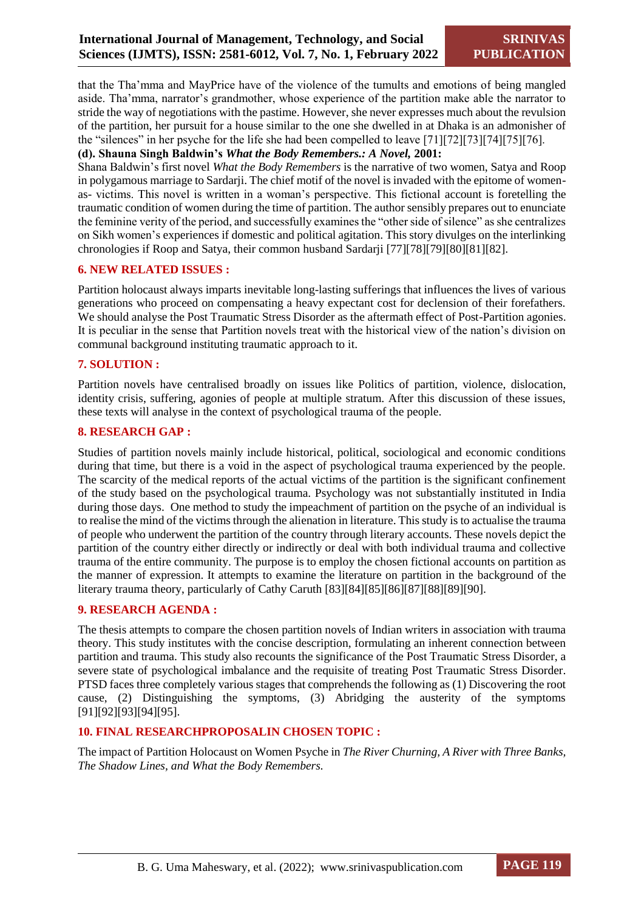that the Tha'mma and MayPrice have of the violence of the tumults and emotions of being mangled aside. Tha'mma, narrator's grandmother, whose experience of the partition make able the narrator to stride the way of negotiations with the pastime. However, she never expresses much about the revulsion of the partition, her pursuit for a house similar to the one she dwelled in at Dhaka is an admonisher of the "silences" in her psyche for the life she had been compelled to leave [71][72][73][74][75][76].

#### **(d). Shauna Singh Baldwin's** *What the Body Remembers.: A Novel,* **2001:**

Shana Baldwin's first novel *What the Body Remembers* is the narrative of two women, Satya and Roop in polygamous marriage to Sardarji. The chief motif of the novel is invaded with the epitome of womenas- victims. This novel is written in a woman's perspective. This fictional account is foretelling the traumatic condition of women during the time of partition. The author sensibly prepares out to enunciate the feminine verity of the period, and successfully examines the "other side of silence" as she centralizes on Sikh women's experiences if domestic and political agitation. This story divulges on the interlinking chronologies if Roop and Satya, their common husband Sardarji [77][78][79][80][81][82].

# **6. NEW RELATED ISSUES :**

Partition holocaust always imparts inevitable long-lasting sufferings that influences the lives of various generations who proceed on compensating a heavy expectant cost for declension of their forefathers. We should analyse the Post Traumatic Stress Disorder as the aftermath effect of Post-Partition agonies. It is peculiar in the sense that Partition novels treat with the historical view of the nation's division on communal background instituting traumatic approach to it.

#### **7. SOLUTION :**

Partition novels have centralised broadly on issues like Politics of partition, violence, dislocation, identity crisis, suffering, agonies of people at multiple stratum. After this discussion of these issues, these texts will analyse in the context of psychological trauma of the people.

#### **8. RESEARCH GAP :**

Studies of partition novels mainly include historical, political, sociological and economic conditions during that time, but there is a void in the aspect of psychological trauma experienced by the people. The scarcity of the medical reports of the actual victims of the partition is the significant confinement of the study based on the psychological trauma. Psychology was not substantially instituted in India during those days. One method to study the impeachment of partition on the psyche of an individual is to realise the mind of the victims through the alienation in literature. This study is to actualise the trauma of people who underwent the partition of the country through literary accounts. These novels depict the partition of the country either directly or indirectly or deal with both individual trauma and collective trauma of the entire community. The purpose is to employ the chosen fictional accounts on partition as the manner of expression. It attempts to examine the literature on partition in the background of the literary trauma theory, particularly of Cathy Caruth [83][84][85][86][87][88][89][90].

#### **9. RESEARCH AGENDA :**

The thesis attempts to compare the chosen partition novels of Indian writers in association with trauma theory. This study institutes with the concise description, formulating an inherent connection between partition and trauma. This study also recounts the significance of the Post Traumatic Stress Disorder, a severe state of psychological imbalance and the requisite of treating Post Traumatic Stress Disorder. PTSD faces three completely various stages that comprehends the following as (1) Discovering the root cause, (2) Distinguishing the symptoms, (3) Abridging the austerity of the symptoms [91][92][93][94][95].

#### **10. FINAL RESEARCHPROPOSALIN CHOSEN TOPIC :**

The impact of Partition Holocaust on Women Psyche in *The River Churning, A River with Three Banks, The Shadow Lines, and What the Body Remembers.*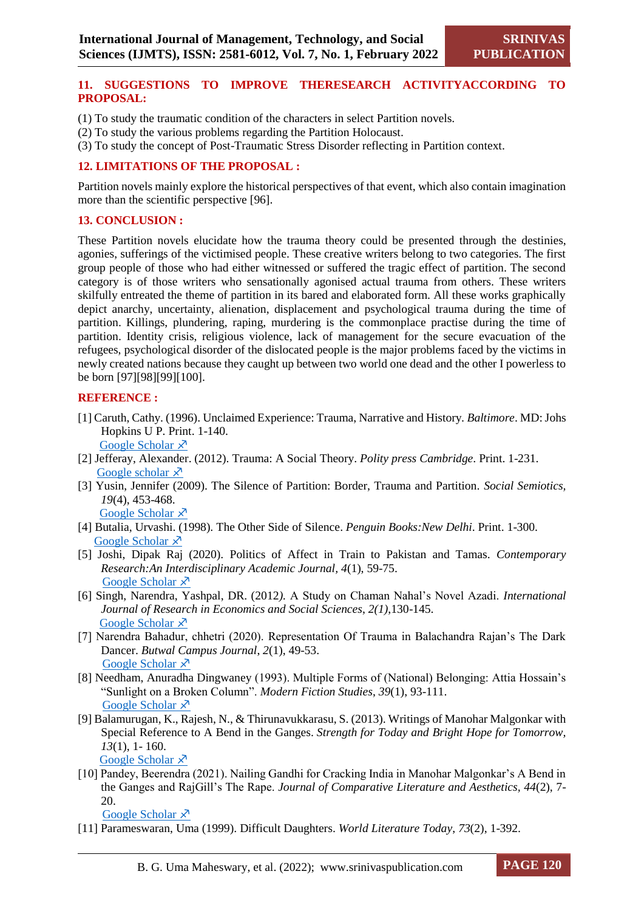#### **11. SUGGESTIONS TO IMPROVE THERESEARCH ACTIVITYACCORDING TO PROPOSAL:**

- (1) To study the traumatic condition of the characters in select Partition novels.
- (2) To study the various problems regarding the Partition Holocaust.
- (3) To study the concept of Post-Traumatic Stress Disorder reflecting in Partition context.

## **12. LIMITATIONS OF THE PROPOSAL :**

Partition novels mainly explore the historical perspectives of that event, which also contain imagination more than the scientific perspective [96].

#### **13. CONCLUSION :**

These Partition novels elucidate how the trauma theory could be presented through the destinies, agonies, sufferings of the victimised people. These creative writers belong to two categories. The first group people of those who had either witnessed or suffered the tragic effect of partition. The second category is of those writers who sensationally agonised actual trauma from others. These writers skilfully entreated the theme of partition in its bared and elaborated form. All these works graphically depict anarchy, uncertainty, alienation, displacement and psychological trauma during the time of partition. Killings, plundering, raping, murdering is the commonplace practise during the time of partition. Identity crisis, religious violence, lack of management for the secure evacuation of the refugees, psychological disorder of the dislocated people is the major problems faced by the victims in newly created nations because they caught up between two world one dead and the other I powerless to be born [97][98][99][100].

#### **REFERENCE :**

- [1] Caruth, Cathy. (1996). Unclaimed Experience: Trauma, Narrative and History*. Baltimore*. MD: Johs Hopkins U P. Print. 1-140. [Google Scholar](https://books.google.com/books/about/Unclaimed_Experience.html?id=aPY0DQAAQBAJ)  $\chi$ <sup>7</sup>
- [2] Jefferay, Alexander. (2012). Trauma: A Social Theory. *Polity press Cambridge*. Print. 1-231. [Google scholar](https://books.google.com/books/about/Trauma.html?id=K0eGRmM63lUC)  $\lambda$ <sup>7</sup>
- [3] Yusin, Jennifer (2009). The Silence of Partition: Border, Trauma and Partition*. Social Semiotics, 19*(4), 453-468.

[Google Scholar](https://www.tandfonline.com/doi/full/10.1080/10350330903361141#.Yc7aFpVp5HY.)  $\lambda$ 

- [4] Butalia, Urvashi. (1998). The Other Side of Silence. *Penguin Books:New Delhi*. Print. 1-300. [Google Scholar](https://books.google.com/books/about/The_Other_Side_of_Silence.html?id=1CUMQJZLjzEC)  $\lambda$
- [5] Joshi, Dipak Raj (2020)*.* Politics of Affect in Train to Pakistan and Tamas. *Contemporary Research:An Interdisciplinary Academic Journal, 4*(1), 59-75. [Google Scholar](https://www.nepjol.info/index.php/craiaj/article/view/32730)  $\lambda$
- [6] Singh, Narendra, Yashpal, DR. (2012*).* A Study on Chaman Nahal's Novel Azadi. *International Journal of Research in Economics and Social Sciences*, *2(1)*,130-145. [Google Scholar](https://www.academia.edu/download/32541201/A_Study_on_Chaman_Nahals__Novel_Azadi.pdf)  $\lambda$
- [7] Narendra Bahadur, chhetri (2020). Representation Of Trauma in Balachandra Rajan's The Dark Dancer. *Butwal Campus Journal*, *2*(1), 49-53. [Google Scholar](https://www.nepjol.info/index.php/bcj/article/download/35670/27859)  $\times$
- [8] Needham, Anuradha Dingwaney (1993). Multiple Forms of (National) Belonging: Attia Hossain's "Sunlight on a Broken Column". *Modern Fiction Studies*, *39*(1), 93-111. [Google Scholar](https://muse.jhu.edu/article/244068)  $\lambda$
- [9] Balamurugan, K., Rajesh, N., & Thirunavukkarasu, S. (2013). Writings of Manohar Malgonkar with Special Reference to A Bend in the Ganges. *Strength for Today and Bright Hope for Tomorrow, 13*(1), 1- 160.

[Google Scholar](http://scholar.googleusercontent.com/scholar?q=cache:Lr3ykKQ2yPEJ:scholar.google.com/+a+bend+in+the+ganges&hl=en&as_sdt=0,5)  $\lambda$ 

[10] Pandey, Beerendra (2021). Nailing Gandhi for Cracking India in Manohar Malgonkar's A Bend in the Ganges and RajGill's The Rape. *Journal of Comparative Literature and Aesthetics, 44*(2), 7- 20.

[Google Scholar](http://jcla.in/wp-content/uploads/2021/06/JCLA-44.2_Summer-2021_Beerendra-Pandey.pdf)  $\overline{x}$ 

[11] Parameswaran, Uma (1999). Difficult Daughters. *World Literature Today*, *73*(2), 1-392.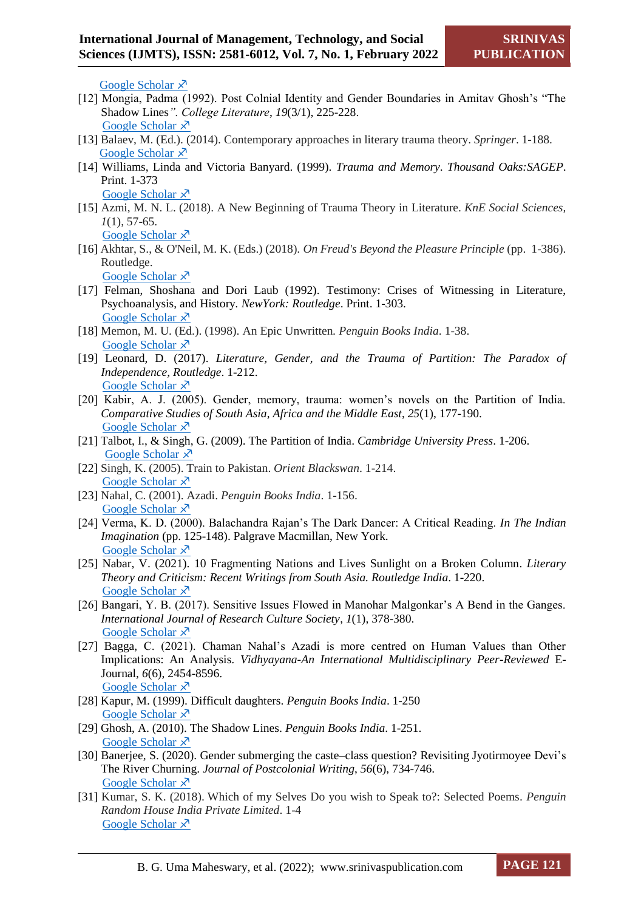[Google Scholar](https://go.gale.com/ps/i.do?id=GALE%7CA55074424&sid=googleScholar&v=2.1&it=r&linkaccess=abs&issn=01963570&p=AONE&sw=w&userGroupName=tacoma_comm)  $\lambda$ 

- [12] Mongia, Padma (1992). Post Colnial Identity and Gender Boundaries in Amitav Ghosh's "The Shadow Lines*". College Literature*, *19*(3/1), 225-228. [Google Scholar](http://www.jstor.org/stable/25112007)  $\lambda$
- [13] Balaev, M. (Ed.). (2014). Contemporary approaches in literary trauma theory. *Springer*. 1-188. [Google Scholar](https://books.google.com/books/about/Contemporary_Approaches_in_Literary_Trau.html?id=eLsaBgAAQBAJ)  $\lambda$
- [14] Williams, Linda and Victoria Banyard. (1999). *Trauma and Memory*. *Thousand Oaks:SAGEP*. Print. 1-373 [Google Scholar](https://books.google.com/books/about/Trauma_and_Memory.html?id=biRwhgIFLKkC)  $\lambda$
- [15] Azmi, M. N. L. (2018). A New Beginning of Trauma Theory in Literature. *KnE Social Sciences, 1*(1), 57-65. [Google Scholar](https://scholar.googleusercontent.com/scholar?q=cache:H5OOu-PBD-EJ:scholar.google.com/+trauma+theory+literature&hl=en&as_sdt=0,5)  $\lambda$
- [16] Akhtar, S., & O'Neil, M. K. (Eds.) (2018). *On Freud's Beyond the Pleasure Principle* (pp. 1-386). Routledge.

```
Google Scholar \lambda
```
- [17] Felman, Shoshana and Dori Laub (1992). Testimony: Crises of Witnessing in Literature, Psychoanalysis, and History*. NewYork: Routledge*. Print. 1-303. [Google Scholar](https://books.google.com/books/about/Testimony.html?id=OpbJsbu2vm8C)  $\lambda$
- [18] Memon, M. U. (Ed.). (1998). An Epic Unwritten*. Penguin Books India*. 1-38. [Google Scholar](https://books.google.com/books/about/An_Epic_Unwritten.html?id=ZjeP96uhGtcC)  $\lambda$
- [19] Leonard, D. (2017). *Literature, Gender, and the Trauma of Partition: The Paradox of Independence, Routledge*. 1-212. [Google Scholar](https://doi.org/10.4324/9781315646060)  $\lambda$
- [20] Kabir, A. J. (2005). Gender, memory, trauma: women's novels on the Partition of India. *Comparative Studies of South Asia*, *Africa and the Middle East*, *25*(1), 177-190. [Google Scholar](https://muse.jhu.edu/article/185347)  $\lambda$
- [21] Talbot, I., & Singh, G. (2009). The Partition of India. *Cambridge University Press*. 1-206. [Google Scholar](http://eprints.soton.ac.uk/id/eprint/68755)  $\lambda$
- [22] Singh, K. (2005). Train to Pakistan. *Orient Blackswan*. 1-214. [Google Scholar](https://books.google.com/books/about/Train_to_Pakistan.html?id=B-_QHX7YasgC)  $\lambda$
- [23] Nahal, C. (2001). Azadi. *Penguin Books India*. 1-156. [Google Scholar](https://books.google.com/books/about/Azadi.html?id=kFRL95do9hUC)  $\lambda$
- [24] Verma, K. D. (2000). Balachandra Rajan's The Dark Dancer: A Critical Reading. *In The Indian Imagination* (pp. 125-148). Palgrave Macmillan, New York. [Google Scholar](https://link.springer.com/chapter/10.1007/978-1-349-61823-1_7)  $\lambda$
- [25] Nabar, V. (2021). 10 Fragmenting Nations and Lives Sunlight on a Broken Column. *Literary Theory and Criticism: Recent Writings from South Asia. Routledge India*. 1-220. [Google Scholar](https://books.google.com/books/about/Literary_Theory_and_Criticism.html?id=Hs84EAAAQBAJ)  $\lambda$
- [26] Bangari, Y. B. (2017). Sensitive Issues Flowed in Manohar Malgonkar's A Bend in the Ganges. *International Journal of Research Culture Society*, *1*(1), 378-380. [Google Scholar](https://scholar.archive.org/work/7t7emntgwbcgbkfl7xmlmbguey/access/wayback/http:/ijrcs.rcsjournals.org/wp-content/uploads/201712069.pdf)  $\lambda$
- [27] Bagga, C. (2021). Chaman Nahal's Azadi is more centred on Human Values than Other Implications: An Analysis. *Vidhyayana-An International Multidisciplinary Peer-Reviewed* E-Journal, *6*(6), 2454-8596. [Google Scholar](http://j.vidhyayanaejournal.org/index.php/journal/article/view/24) X
- [28] Kapur, M. (1999). Difficult daughters. *Penguin Books India*. 1-250 [Google Scholar](https://books.google.com/books/about/Difficult_Daughters.html?id=1CQCMJcLU1kC) X
- [29] Ghosh, A. (2010). The Shadow Lines. *Penguin Books India*. 1-251. [Google Scholar](https://books.google.com/books/about/The_Shadow_Lines.html?id=7c8L9ABrTR0C)  $\lambda$
- [30] Banerjee, S. (2020). Gender submerging the caste–class question? Revisiting Jyotirmoyee Devi's The River Churning. *Journal of Postcolonial Writing*, *56*(6), 734-746. [Google Scholar](https://www.tandfonline.com/doi/abs/10.1080/17449855.2020.1765190#.Yc8N411k4to.whatsapp) X
- [31] Kumar, S. K. (2018). Which of my Selves Do you wish to Speak to?: Selected Poems. *Penguin Random House India Private Limited*. 1-4 [Google Scholar](https://books.google.com/books/about/Which_of_my_Selves_Do_you_wish_to_Speak.html?id=s3FyDwAAQBAJ)  $\times$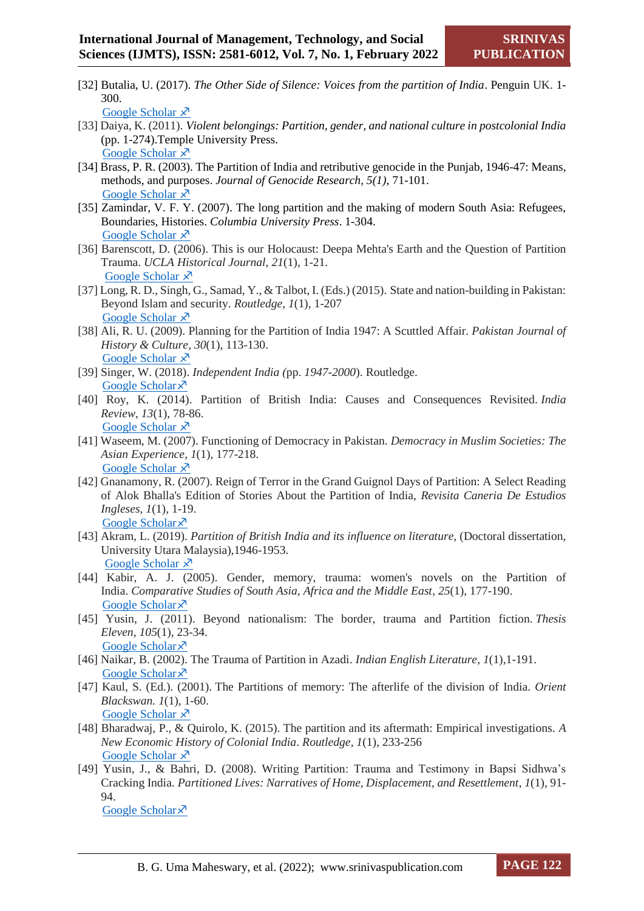[32] Butalia, U. (2017). *The Other Side of Silence: Voices from the partition of India*. Penguin UK. 1- 300.

[Google Scholar](https://books.google.com/books/about/The_Other_Side_of_Silence.html?id=1CUMQJZLjzEC)  $\lambda$ 

- [33] Daiya, K. (2011). *Violent belongings: Partition, gender, and national culture in postcolonial India* (pp. 1-274).Temple University Press. [Google Scholar](https://books.google.com/books/about/Violent_Belongings.html?id=P7a-FuiMcTYC) X
- [34] Brass, P. R. (2003). The Partition of India and retributive genocide in the Punjab, 1946-47: Means, methods, and purposes. *Journal of Genocide Research, 5(1)*, 71-101. [Google Scholar](https://www.tandfonline.com/doi/abs/10.1080/14623520305657?journalCode=cjgr20#.Yeza94SlVPs.whatsapp)  $\lambda$ <sup>7</sup>
- [35] Zamindar, V. F. Y. (2007). The long partition and the making of modern South Asia: Refugees, Boundaries, Histories. *Columbia University Press*. 1-304. [Google Scholar](https://books.google.com/books/about/The_Long_Partition_and_the_Making_of_Mod.html?id=EfhqQLr96VgC)  $\lambda$
- [36] Barenscott, D. (2006). This is our Holocaust: Deepa Mehta's Earth and the Question of Partition Trauma. *UCLA Historical Journal*, *21*(1), 1-21. [Google Scholar](https://scholar.googleusercontent.com/scholar?q=cache:7h3J3rC7S6AJ:scholar.google.com/+partition+trauma&hl=en&as_sdt=0,5)  $\lambda$
- [37] Long, R. D., Singh, G., Samad, Y., & Talbot, I. (Eds.) (2015). State and nation-building in Pakistan: Beyond Islam and security. *Routledge, 1*(1), 1-207 [Google Scholar](https://books.google.com/books/about/State_and_Nation_Building_in_Pakistan.html?id=nzivCgAAQBAJ)  $\lambda$
- [38] Ali, R. U. (2009). Planning for the Partition of India 1947: A Scuttled Affair. *Pakistan Journal of History & Culture*, *30*(1), 113-130. [Google Scholar](http://scholar.googleusercontent.com/scholar?q=cache:fZUlb_bmpAIJ:scholar.google.com/+partition+of+india+%22human+dimension%22&hl=en&as_sdt=0,5)  $\lambda$
- [39] Singer, W. (2018). *Independent India (*pp. *1947-2000*). Routledge. [Google Scholar](https://books.google.com/books/about/Independent_India_1947_2000.html?id=b0mjDwAAQBAJ)
- [40] Roy, K. (2014). Partition of British India: Causes and Consequences Revisited. *India Review*, *13*(1), 78-86. [Google Scholar](https://www.tandfonline.com/doi/full/10.1080/14736489.2014.873681?scroll=top&needAccess=true#.YeziaKE_4qg.)  $\lambda$
- [41] Waseem, M. (2007). Functioning of Democracy in Pakistan. *Democracy in Muslim Societies: The Asian Experience*, *1*(1), 177-218. [Google Scholar](https://www.tandfonline.com/doi/full/10.1080/14736489.2014.873681?scroll=top&needAccess=true#.YeziaKE_4qg.)  $\times$
- [42] Gnanamony, R. (2007). Reign of Terror in the Grand Guignol Days of Partition: A Select Reading of Alok Bhalla's Edition of Stories About the Partition of India, *Revisita Caneria De Estudios Ingleses, 1*(1)*,* 1-19. [Google Scholar](https://riull.ull.es/xmlui/handle/915/14413) ×
- [43] Akram, L. (2019). *Partition of British India and its influence on literature,* (Doctoral dissertation, University Utara Malaysia),1946-1953. [Google Scholar](https://etd.uum.edu.my/8819/)  $\lambda$
- [44] Kabir, A. J. (2005). Gender, memory, trauma: women's novels on the Partition of India. *Comparative Studies of South Asia, Africa and the Middle East*, *25*(1), 177-190. [Google Scholar](https://muse.jhu.edu/article/185347) ×
- [45] Yusin, J. (2011). Beyond nationalism: The border, trauma and Partition fiction. *Thesis Eleven*, *105*(1), 23-34. [Google Scholar](https://journals.sagepub.com/doi/abs/10.1177/0725513611400390) ×
- [46] Naikar, B. (2002). The Trauma of Partition in Azadi. *Indian English Literature*, *1*(1),1-191. [Google Scholar](https://books.google.com/books/about/Indian_English_Literature.html?id=lCTdGCIOUGUC) ×
- [47] Kaul, S. (Ed.). (2001). The Partitions of memory: The afterlife of the division of India. *Orient Blackswan. 1*(1), 1-60. [Google Scholar](https://books.google.com/books/about/The_Partitions_of_Memory.html?id=UbftPfsBUZEC)  $\lambda$
- [48] Bharadwaj, P., & Quirolo, K. (2015). The partition and its aftermath: Empirical investigations. *A New Economic History of Colonial India*. *Routledge*, *1*(1), 233-256 [Google Scholar](https://scholar.googleusercontent.com/scholar?q=cache:K6QQ6OyXTyYJ:scholar.google.com/+partition+of+india+%22migratory+flows%22&hl=en&as_sdt=0,5)  $\lambda$
- [49] Yusin, J., & Bahri, D. (2008). Writing Partition: Trauma and Testimony in Bapsi Sidhwa's Cracking India. *Partitioned Lives: Narratives of Home, Displacement, and Resettlement*, *1*(1)*,* 91- 94. [Google Scholar](https://books.google.com/books/about/Partitioned_Lives.html?id=YWB0GmmoOSMC) ×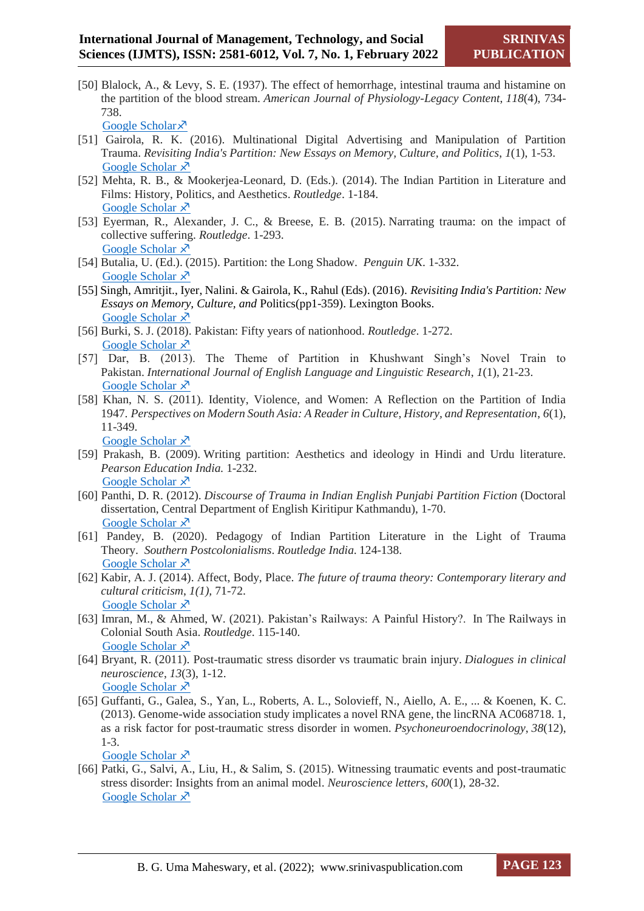[50] Blalock, A., & Levy, S. E. (1937). The effect of hemorrhage, intestinal trauma and histamine on the partition of the blood stream. *American Journal of Physiology-Legacy Content*, *118*(4), 734- 738.

[Google Scholar](https://journals.physiology.org/doi/abs/10.1152/ajplegacy.1937.118.4.734?journalCode=ajplegacy) ×

- [51] Gairola, R. K. (2016). Multinational Digital Advertising and Manipulation of Partition Trauma. *Revisiting India's Partition: New Essays on Memory, Culture, and Politics*, *1*(1), 1-53. [Google Scholar](https://books.google.com/books/about/Revisiting_India_s_Partition.html?id=tmA0DAAAQBAJ)  $\overline{x}$
- [52] Mehta, R. B., & Mookerjea-Leonard, D. (Eds.). (2014). The Indian Partition in Literature and Films: History, Politics, and Aesthetics. *Routledge*. 1-184. [Google Scholar](https://books.google.com/books/about/The_Indian_Partition_in_Literature_and_F.html?id=cnffBQAAQBAJ)  $\lambda$
- [53] Eyerman, R., Alexander, J. C., & Breese, E. B. (2015). Narrating trauma: on the impact of collective suffering. *Routledge*. 1-293. [Google Scholar](https://books.google.com/books/about/Narrating_Trauma.html?id=XNXOCgAAQBAJ)  $\lambda$
- [54] Butalia, U. (Ed.). (2015). Partition: the Long Shadow. *Penguin UK*. 1-332. [Google Scholar](https://books.google.com/books/about/Partition.html?id=0E3WBgAAQBAJ)  $\lambda$
- [55] Singh, Amritjit., Iyer, Nalini. & Gairola, K., Rahul (Eds). (2016). *Revisiting India's Partition: New Essays on Memory, Culture, and* Politics(pp1-359). Lexington Books. [Google Scholar](https://books.google.com/books/about/Revisiting_India_s_Partition.html?id=tmA0DAAAQBAJ)  $\lambda$
- [56] Burki, S. J. (2018). Pakistan: Fifty years of nationhood. *Routledge*. 1-272. [Google Scholar](https://books.google.com/books/about/Pakistan.html?id=zpZNDwAAQBAJ)  $\lambda$
- [57] Dar, B. (2013). The Theme of Partition in Khushwant Singh's Novel Train to Pakistan. *International Journal of English Language and Linguistic Research*, *1*(1), 21-23. [Google Scholar](https://scholar.googleusercontent.com/scholar?q=cache:diyK4nzIzKcJ:scholar.google.com/+partition+of+india+%22migratory+flows%22&hl=en&as_sdt=0,5)  $\overline{x}$
- [58] Khan, N. S. (2011). Identity, Violence, and Women: A Reflection on the Partition of India 1947. *Perspectives on Modern South Asia: A Reader in Culture, History, and Representation*, *6*(1), 11-349.

[Google Scholar](https://books.google.com/books/about/Perspectives_on_Modern_South_Asia.html?id=m-EYXNnvMugC)  $\lambda$ 

- [59] Prakash, B. (2009). Writing partition: Aesthetics and ideology in Hindi and Urdu literature. *Pearson Education India.* 1-232. [Google Scholar](https://books.google.com/books/about/Writing_Partition.html?id=fgnDzZqmdGcC)  $\lambda$
- [60] Panthi, D. R. (2012). *Discourse of Trauma in Indian English Punjabi Partition Fiction* (Doctoral dissertation, Central Department of English Kiritipur Kathmandu), 1-70. [Google Scholar](http://scholar.googleusercontent.com/scholar?q=cache:baS81b8UoF8J:scholar.google.com/+trauma+in+Partition&hl=en&as_sdt=0,5)  $\overline{x}$
- [61] Pandey, B. (2020). Pedagogy of Indian Partition Literature in the Light of Trauma Theory. *Southern Postcolonialisms*. *Routledge India*. 124-138. [Google Scholar](https://scholar.googleusercontent.com/scholar?q=cache:u9YUkyjH2EwJ:scholar.google.com/+representation+of+Partition+trauma&hl=en&as_sdt=0,5)  $\lambda$
- [62] Kabir, A. J. (2014). Affect, Body, Place. *The future of trauma theory: Contemporary literary and cultural criticism*, *1(1),* 71-72. [Google Scholar](https://books.google.com/books/about/The_Future_of_Trauma_Theory.html?id=rSjjAQAAQBAJ)  $\lambda$
- [63] Imran, M., & Ahmed, W. (2021). Pakistan's Railways: A Painful History?. In The Railways in Colonial South Asia. *Routledge*. 115-140. [Google Scholar](https://scholar.googleusercontent.com/scholar?q=cache:Lg5kmAlDtmAJ:scholar.google.com/+partition+of+india+%22painful+history%22&hl=en&as_sdt=0,5)  $\lambda$ <sup>7</sup>
- [64] Bryant, R. (2011). Post-traumatic stress disorder vs traumatic brain injury. *Dialogues in clinical neuroscience*, *13*(3), 1-12. [Google Scholar](https://www.ncbi.nlm.nih.gov/pmc/articles/PMC3182010/) X
- [65] Guffanti, G., Galea, S., Yan, L., Roberts, A. L., Solovieff, N., Aiello, A. E., ... & Koenen, K. C. (2013). Genome-wide association study implicates a novel RNA gene, the lincRNA AC068718. 1, as a risk factor for post-traumatic stress disorder in women. *Psychoneuroendocrinology*, *38*(12), 1-3.

[Google Scholar](https://www.ncbi.nlm.nih.gov/pmc/articles/PMC3844079/)  $\chi^2$ 

[66] Patki, G., Salvi, A., Liu, H., & Salim, S. (2015). Witnessing traumatic events and post-traumatic stress disorder: Insights from an animal model. *Neuroscience letters*, *600*(1), 28-32. [Google Scholar](https://www.ncbi.nlm.nih.gov/pmc/articles/PMC4702492/) X<sup>7</sup>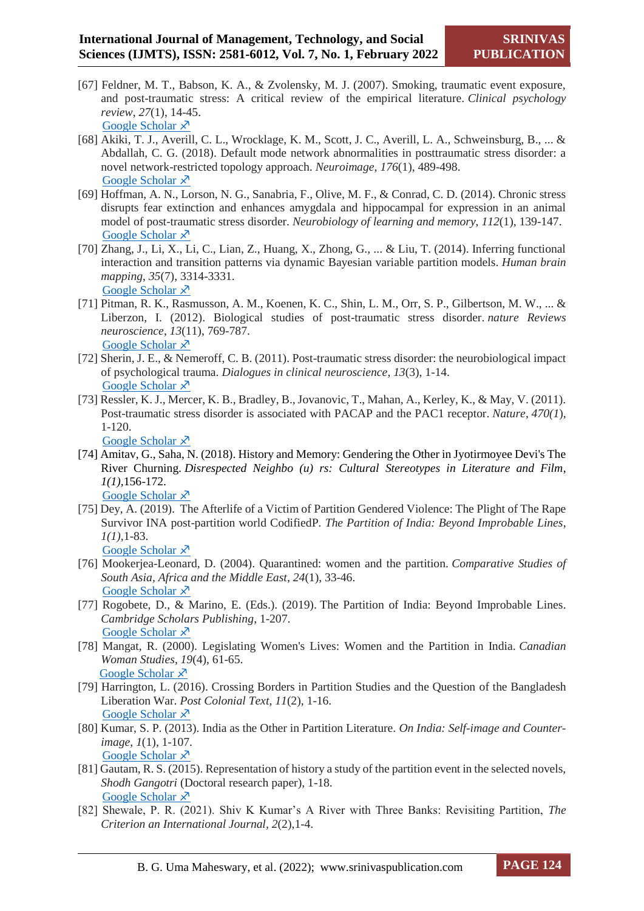- [67] Feldner, M. T., Babson, K. A., & Zvolensky, M. J. (2007). Smoking, traumatic event exposure, and post-traumatic stress: A critical review of the empirical literature. *Clinical psychology review*, *27*(1), 14-45. [Google Scholar](https://www.ncbi.nlm.nih.gov/pmc/articles/PMC2575106/)  $\lambda$
- [68] Akiki, T. J., Averill, C. L., Wrocklage, K. M., Scott, J. C., Averill, L. A., Schweinsburg, B., ... & Abdallah, C. G. (2018). Default mode network abnormalities in posttraumatic stress disorder: a novel network-restricted topology approach. *Neuroimage*, *176*(1), 489-498. [Google Scholar](https://www.ncbi.nlm.nih.gov/pmc/articles/PMC5976548/)  $\lambda$
- [69] Hoffman, A. N., Lorson, N. G., Sanabria, F., Olive, M. F., & Conrad, C. D. (2014). Chronic stress disrupts fear extinction and enhances amygdala and hippocampal for expression in an animal model of post-traumatic stress disorder. *Neurobiology of learning and memory*, *112*(1), 139-147. [Google Scholar](https://www.ncbi.nlm.nih.gov/pmc/articles/PMC4051860/)  $\lambda$
- [70] Zhang, J., Li, X., Li, C., Lian, Z., Huang, X., Zhong, G., ... & Liu, T. (2014). Inferring functional interaction and transition patterns via dynamic Bayesian variable partition models. *Human brain mapping*, *35*(7), 3314-3331. [Google Scholar](https://www.ncbi.nlm.nih.gov/pmc/articles/PMC4018439/)  $\lambda$
- [71] Pitman, R. K., Rasmusson, A. M., Koenen, K. C., Shin, L. M., Orr, S. P., Gilbertson, M. W., ... & Liberzon, I. (2012). Biological studies of post-traumatic stress disorder. *nature Reviews neuroscience*, *13*(11), 769-787. Google [Scholar](https://www.ncbi.nlm.nih.gov/pmc/articles/PMC4951157/)  $\lambda$
- [72] Sherin, J. E., & Nemeroff, C. B. (2011). Post-traumatic stress disorder: the neurobiological impact of psychological trauma. *Dialogues in clinical neuroscience*, *13*(3), 1-14. [Google Scholar](https://www.ncbi.nlm.nih.gov/pmc/articles/PMC3182008/)  $\overline{x}$
- [73] Ressler, K. J., Mercer, K. B., Bradley, B., Jovanovic, T., Mahan, A., Kerley, K., & May, V. (2011). Post-traumatic stress disorder is associated with PACAP and the PAC1 receptor. *Nature*, *470(1*), 1-120.

[Google Scholar](https://www.ncbi.nlm.nih.gov/pmc/articles/PMC3046811/)  $\lambda$ 

- [74] Amitav, G., Saha, N. (2018). History and Memory: Gendering the Other in Jyotirmoyee Devi's The River Churning. *Disrespected Neighbo (u) rs: Cultural Stereotypes in Literature and Film*, *1(1),*156-172. [Google Scholar](https://books.google.com/books/about/Disrespected_Neighbo_u_rs.html?id=wHFmDwAAQBAJ)  $\lambda$
- [75] Dey, A. (2019). The Afterlife of a Victim of Partition Gendered Violence: The Plight of The Rape Survivor INA post-partition world CodifiedP*. The Partition of India: Beyond Improbable Lines*, *1(1),*1-83.

[Google Scholar](https://books.google.com/books/about/The_Partition_of_India.html?id=YHSFDwAAQBAJ)  $\lambda$ 

- [76] Mookerjea-Leonard, D. (2004). Quarantined: women and the partition. *Comparative Studies of South Asia, Africa and the Middle East*, *24*(1), 33-46. [Google Scholar](https://muse.jhu.edu/article/181217)  $\lambda$
- [77] Rogobete, D., & Marino, E. (Eds.). (2019). The Partition of India: Beyond Improbable Lines. *Cambridge Scholars Publishing*, 1-207. [Google Scholar](https://books.google.com/books/about/The_Partition_of_India.html?id=YHSFDwAAQBAJ)  $\lambda$
- [78] Mangat, R. (2000). Legislating Women's Lives: Women and the Partition in India. *Canadian Woman Studies*, *19*(4), 61-65. [Google Scholar](https://scholar.googleusercontent.com/scholar?q=cache:vhPiEOLOBc8J:scholar.google.com/+partition+of+india+%22muslim+women%22&hl=en&as_sdt=0,5)  $\lambda$
- [79] Harrington, L. (2016). Crossing Borders in Partition Studies and the Question of the Bangladesh Liberation War. *Post Colonial Text*, *11*(2), 1-16. [Google Scholar](https://scholar.googleusercontent.com/scholar?q=cache:cLJ2g3BADpcJ:scholar.google.com/++the+river+churning+partition+novel&hl=en&as_sdt=0,5) X
- [80] Kumar, S. P. (2013). India as the Other in Partition Literature. *On India: Self-image and Counterimage*, *1*(1)*,* 1-107. [Google Scholar](https://books.google.com/books/about/On_India.html?id=PN6GAwAAQBAJ)  $\lambda$
- [81] Gautam, R. S. (2015). Representation of history a study of the partition event in the selected novels, *Shodh Gangotri* (Doctoral research paper), 1-18. [Google Scholar](https://scholar.googleusercontent.com/scholar?q=cache:qHZPT7jxQuwJ:scholar.google.com/+shiv+k+Kumar+Partition+novels&hl=en&as_sdt=0,5) X
- [82] Shewale, P. R. (2021). Shiv K Kumar's A River with Three Banks: Revisiting Partition, *The Criterion an International Journal, 2*(2),1-4.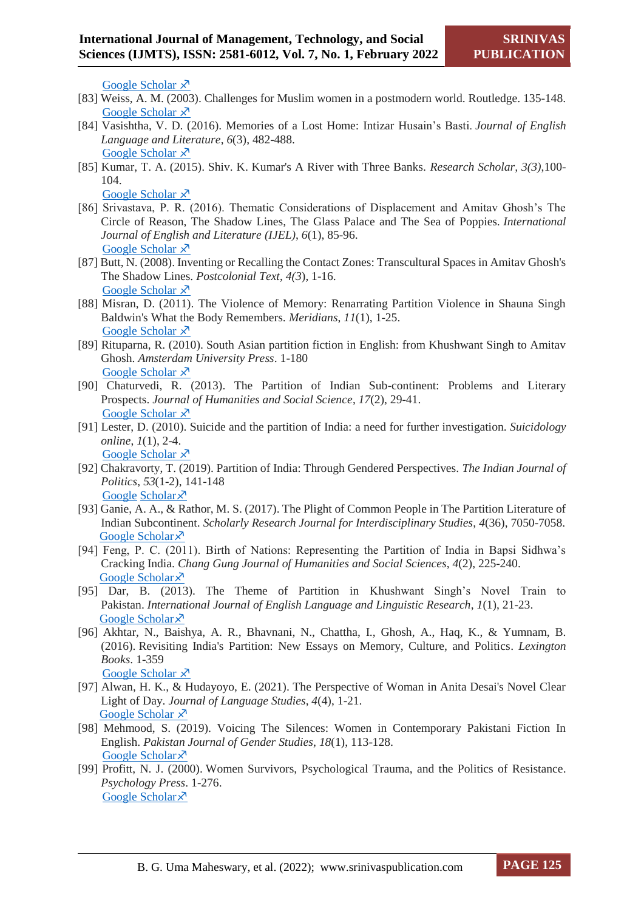[Google Scholar](https://scholar.googleusercontent.com/scholar?q=cache:qOtoxxZLd5IJ:scholar.google.com/+a+river+with+three+banks+novel&hl=en&as_sdt=0,5)  $\lambda$ 

- [83] Weiss, A. M. (2003). Challenges for Muslim women in a postmodern world. Routledge. 135-148. [Google Scholar](https://scholar.googleusercontent.com/scholar?q=cache:XFmCRU9n2rYJ:scholar.google.com/+partition+of+india+%22muslim+women%22&hl=en&as_sdt=0,5)  $\lambda$
- [84] Vasishtha, V. D. (2016). Memories of a Lost Home: Intizar Husain's Basti. *Journal of English Language and Literature*, *6*(3), 482-488. [Google Scholar](https://scholar.googleusercontent.com/scholar?q=cache:jUwvG4FWBRoJ:scholar.google.com/+shiv.k.kumar+a+river+with+three+banks+partitionnovel&hl=en&as_sdt=0,5) X
- [85] Kumar, T. A. (2015). Shiv. K. Kumar's A River with Three Banks. *Research Scholar, 3(3)*,100- 104.

[Google Scholar](http://scholar.googleusercontent.com/scholar?q=cache:WBv_inbxOGYJ:scholar.google.com/+%22shiv+k+kumar%22+three+banks&hl=en&as_sdt=0,5)  $\lambda$ <sup>7</sup>

- [86] Srivastava, P. R. (2016). Thematic Considerations of Displacement and Amitav Ghosh's The Circle of Reason, The Shadow Lines, The Glass Palace and The Sea of Poppies. *International Journal of English and Literature (IJEL)*, *6*(1), 85-96. [Google Scholar](https://scholar.googleusercontent.com/scholar?q=cache:KwRLwUUc3wcJ:scholar.google.com/+Chowdary+a+amitav+Ghosh+shadow+line&hl=en&as_sdt=0,5)  $\lambda$
- [87] Butt, N. (2008). Inventing or Recalling the Contact Zones: Transcultural Spaces in Amitav Ghosh's The Shadow Lines. *Postcolonial Text*, *4(3*), 1-16. [Google Scholar](https://scholar.googleusercontent.com/scholar?q=cache:fo6GwQOJll4J:scholar.google.com/+amitav+Ghosh+shadow+lines&hl=en&as_sdt=0,5)  $\lambda$
- [88] Misran, D. (2011). The Violence of Memory: Renarrating Partition Violence in Shauna Singh Baldwin's What the Body Remembers. *Meridians*, *11*(1), 1-25. [Google Scholar](https://read.dukeupress.edu/meridians/article-abstract/11/1/1/138527/The-Violence-of-MemoryRenarrating-Partition)  $\lambda$
- [89] Rituparna, R. (2010). South Asian partition fiction in English: from Khushwant Singh to Amitav Ghosh. *Amsterdam University Press*. 1-180 [Google Scholar](https://scholar.googleusercontent.com/scholar?q=cache:2dTZ43uvyjMJ:scholar.google.com/+partition+trauma+in+women+in+novels&hl=en&as_sdt=0,5) X<sup>7</sup>
- [90] Chaturvedi, R. (2013). The Partition of Indian Sub-continent: Problems and Literary Prospects. *Journal of Humanities and Social Science*, *17*(2), 29-41. [Google Scholar](https://scholar.googleusercontent.com/scholar?q=cache:aS32w8OUjbIJ:scholar.google.com/+partition+of+india+%22human+dimension%22&hl=en&as_sdt=0,5)  $\lambda$ <sup>7</sup>
- [91] Lester, D. (2010). Suicide and the partition of India: a need for further investigation. *Suicidology online*, *1*(1), 2-4. [Google Scholar](http://scholar.googleusercontent.com/scholar?q=cache:D4--G61G9oUJ:scholar.google.com/+partition+of+india+%22muslim+women%22&hl=en&as_sdt=0,5)  $\lambda$
- [92] Chakravorty, T. (2019). Partition of India: Through Gendered Perspectives. *The Indian Journal of Politics*, *53*(1-2), 141-148 Google [Scholar](https://scholar.googleusercontent.com/scholar?q=cache:xAJjFY-N4-MJ:scholar.google.com/+partition+of+india+%22woman%27s+land%22&hl=en&as_sdt=0,5) ×
- [93] Ganie, A. A., & Rathor, M. S. (2017). The Plight of Common People in The Partition Literature of Indian Subcontinent. *Scholarly Research Journal for Interdisciplinary Studies*, *4*(36), 7050-7058. [Google Scholar](https://scholar.googleusercontent.com/scholar?q=cache:Q2tE7DQZTa4J:scholar.google.com/+partition+novels+indian+subcontinent&hl=en&as_sdt=0,5) ×
- [94] Feng, P. C. (2011). Birth of Nations: Representing the Partition of India in Bapsi Sidhwa's Cracking India. *Chang Gung Journal of Humanities and Social Sciences*, *4*(2), 225-240. [Google Scholar](http://scholar.googleusercontent.com/scholar?q=cache:p-dzy3nqy_kJ:scholar.google.com/+partition+novels+indian+subcontinent&hl=en&as_sdt=0,5) ×
- [95] Dar, B. (2013). The Theme of Partition in Khushwant Singh's Novel Train to Pakistan. *International Journal of English Language and Linguistic Research*, *1*(1), 21-23. [Google Scholar](https://scholar.googleusercontent.com/scholar?q=cache:diyK4nzIzKcJ:scholar.google.com/+partition+novels+indian+subcontinent&hl=en&as_sdt=0,5) ×
- [96] Akhtar, N., Baishya, A. R., Bhavnani, N., Chattha, I., Ghosh, A., Haq, K., & Yumnam, B. (2016). Revisiting India's Partition: New Essays on Memory, Culture, and Politics. *Lexington Books*. 1-359 [Google Scholar](https://books.google.com/books/about/Revisiting_India_s_Partition.html?id=tmA0DAAAQBAJ)  $\lambda$
- [97] Alwan, H. K., & Hudayoyo, E. (2021). The Perspective of Woman in Anita Desai's Novel Clear Light of Day. *Journal of Language Studies*, *4*(4), 1-21. [Google Scholar](https://scholar.googleusercontent.com/scholar?q=cache:HHF8tgchf-8J:scholar.google.com/+partition+fiction+%22perspective+of+women%22&hl=en&as_sdt=0,5)  $\lambda$
- [98] Mehmood, S. (2019). Voicing The Silences: Women in Contemporary Pakistani Fiction In English. *Pakistan Journal of Gender Studies*, *18*(1), 113-128. [Google Scholar](https://scholar.googleusercontent.com/scholar?q=cache:AIS5Om5l0YMJ:scholar.google.com/+partition+fiction+%22perspective+of+women%22&hl=en&as_sdt=0,5) ×
- [99] Profitt, N. J. (2000). Women Survivors, Psychological Trauma, and the Politics of Resistance. *Psychology Press*. 1-276. [Google Scholar](https://books.google.com/books/about/Women_Survivors_Psychological_Trauma_and.html?id=TdtwHrSHcusC) ×